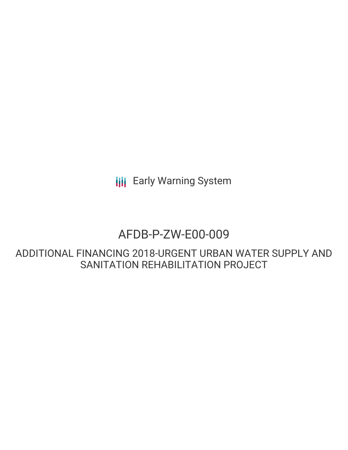**III** Early Warning System

# AFDB-P-ZW-E00-009

ADDITIONAL FINANCING 2018-URGENT URBAN WATER SUPPLY AND SANITATION REHABILITATION PROJECT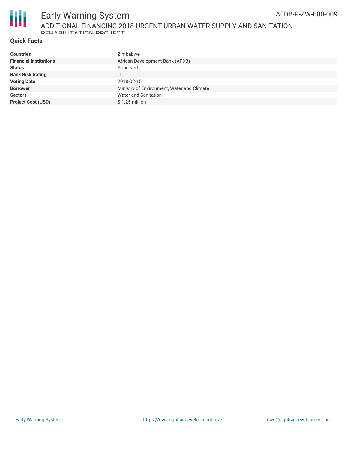

## **Quick Facts**

| <b>Countries</b>              | Zimbabwe                                   |
|-------------------------------|--------------------------------------------|
| <b>Financial Institutions</b> | African Development Bank (AFDB)            |
| <b>Status</b>                 | Approved                                   |
| <b>Bank Risk Rating</b>       | U                                          |
| <b>Voting Date</b>            | 2018-02-15                                 |
| <b>Borrower</b>               | Ministry of Environment, Water and Climate |
| <b>Sectors</b>                | <b>Water and Sanitation</b>                |
| <b>Project Cost (USD)</b>     | $$1.25$ million                            |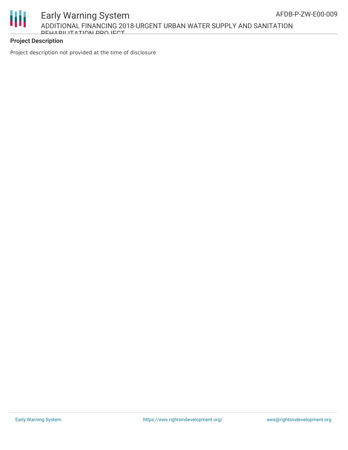

Early Warning System ADDITIONAL FINANCING 2018-URGENT URBAN WATER SUPPLY AND SANITATION DEHABILITATION DDO IECT

## **Project Description**

Project description not provided at the time of disclosure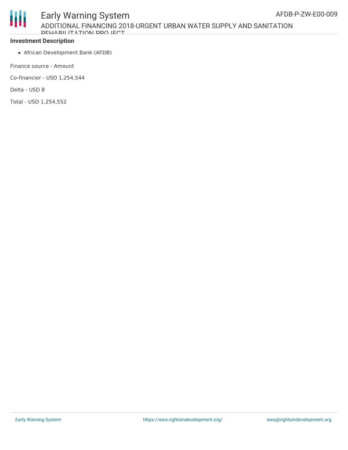

### **Investment Description**

African Development Bank (AFDB)

Finance source - Amount

Co-financier - USD 1,254,544

Delta - USD 8

Total - USD 1,254,552